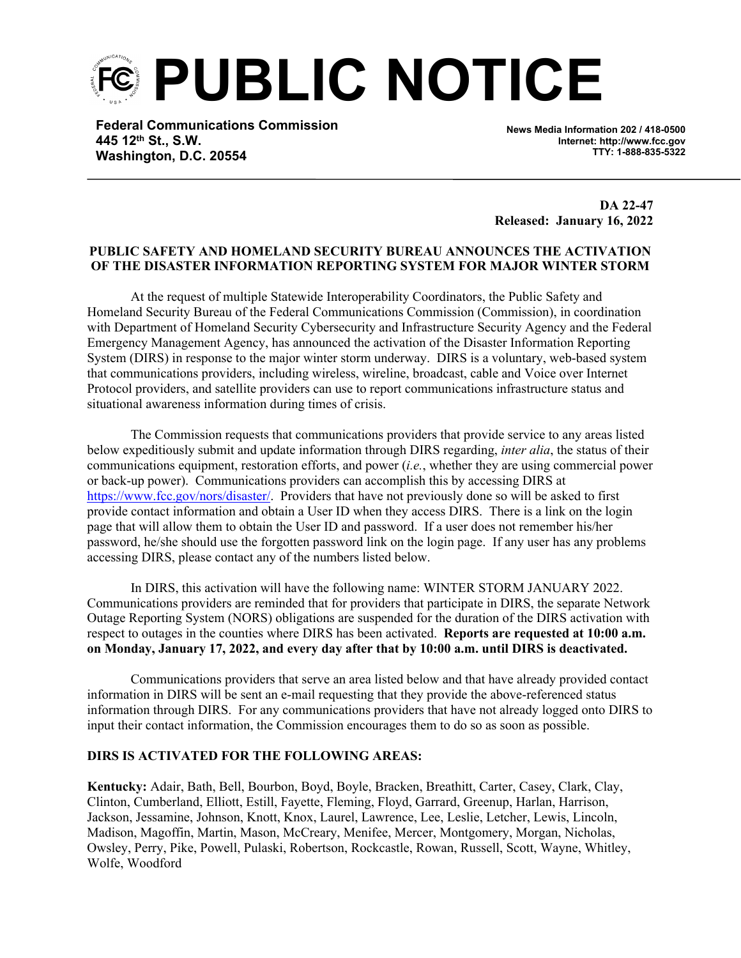**PUBLIC NOTICE**

**Federal Communications Commission 445 12th St., S.W. Washington, D.C. 20554**

**News Media Information 202 / 418-0500 Internet: http://www.fcc.gov TTY: 1-888-835-5322**

**DA 22-47 Released: January 16, 2022**

## **PUBLIC SAFETY AND HOMELAND SECURITY BUREAU ANNOUNCES THE ACTIVATION OF THE DISASTER INFORMATION REPORTING SYSTEM FOR MAJOR WINTER STORM**

At the request of multiple Statewide Interoperability Coordinators, the Public Safety and Homeland Security Bureau of the Federal Communications Commission (Commission), in coordination with Department of Homeland Security Cybersecurity and Infrastructure Security Agency and the Federal Emergency Management Agency, has announced the activation of the Disaster Information Reporting System (DIRS) in response to the major winter storm underway. DIRS is a voluntary, web-based system that communications providers, including wireless, wireline, broadcast, cable and Voice over Internet Protocol providers, and satellite providers can use to report communications infrastructure status and situational awareness information during times of crisis.

The Commission requests that communications providers that provide service to any areas listed below expeditiously submit and update information through DIRS regarding, *inter alia*, the status of their communications equipment, restoration efforts, and power (*i.e.*, whether they are using commercial power or back-up power). Communications providers can accomplish this by accessing DIRS at [https://www.fcc.gov/nors/disaster/.](https://www.fcc.gov/nors/disaster/) Providers that have not previously done so will be asked to first provide contact information and obtain a User ID when they access DIRS. There is a link on the login page that will allow them to obtain the User ID and password. If a user does not remember his/her password, he/she should use the forgotten password link on the login page. If any user has any problems accessing DIRS, please contact any of the numbers listed below.

In DIRS, this activation will have the following name: WINTER STORM JANUARY 2022. Communications providers are reminded that for providers that participate in DIRS, the separate Network Outage Reporting System (NORS) obligations are suspended for the duration of the DIRS activation with respect to outages in the counties where DIRS has been activated. **Reports are requested at 10:00 a.m. on Monday, January 17, 2022, and every day after that by 10:00 a.m. until DIRS is deactivated.**

Communications providers that serve an area listed below and that have already provided contact information in DIRS will be sent an e-mail requesting that they provide the above-referenced status information through DIRS. For any communications providers that have not already logged onto DIRS to input their contact information, the Commission encourages them to do so as soon as possible.

## **DIRS IS ACTIVATED FOR THE FOLLOWING AREAS:**

**Kentucky:** Adair, Bath, Bell, Bourbon, Boyd, Boyle, Bracken, Breathitt, Carter, Casey, Clark, Clay, Clinton, Cumberland, Elliott, Estill, Fayette, Fleming, Floyd, Garrard, Greenup, Harlan, Harrison, Jackson, Jessamine, Johnson, Knott, Knox, Laurel, Lawrence, Lee, Leslie, Letcher, Lewis, Lincoln, Madison, Magoffin, Martin, Mason, McCreary, Menifee, Mercer, Montgomery, Morgan, Nicholas, Owsley, Perry, Pike, Powell, Pulaski, Robertson, Rockcastle, Rowan, Russell, Scott, Wayne, Whitley, Wolfe, Woodford